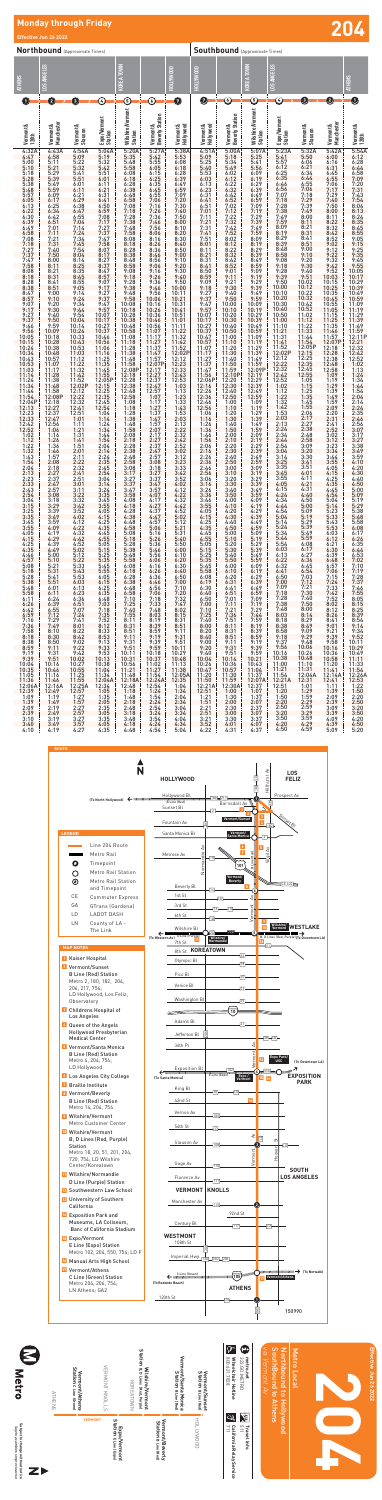

**Effective Jun 26 2022**

ive Jun 26 2022

Effect

## **Monday through Friday Effective Jun 26 2022 204**

12:06A 12:16A 12:25A 12:34 12:48 12:54 1:04 12:39 12:49 12:57 1:05 1:18 1:24 1:34

|                                                                                                                                                                                                                                                                                                                                                                                                                                                                                                                                                                                                                                                                                                                                                                                                     | <b>Northbound</b> (Approximate Times)                                                                                                                                                                                                                                                                                                                                                                                                                                                                                                                                                                                                                                                                                                                                                                                                                                                                     |                                                                                                                                                                                                                                                                                                                                                                                                                      |                                                                                                                                                                                                                                                                                                                                                                                                                                                               |                                                                                                                                                                                                                                                                                                                                                                                                                                                                                           |                                                                                                                                                                                                                                                                                                                                                                                                                                                                                                                        |                                                                                                                                                                                                                                                                                                                                                                                                                                                                                                                                                                                                                                                                                                        |                                                                                                                                                                                                                                                                                                                                                                                                                                                                                                                                                                                                                                                                                                                                                                                                                                                                                                          | <b>Southbound</b> (Approximate Times)                                                                                                                                                                                                              |                                                                                                                                                                                                                                                                                                                                           |                                                                                                                                                                                                                                                                                                                                                                                                                                                                                   |                                                                                                                                                                                                                                                                                                                                                                                                                                                                                                                                                                                                                                                                                                                                                                  |                                               |                                                                                                                                                                                                                                                      |  |
|-----------------------------------------------------------------------------------------------------------------------------------------------------------------------------------------------------------------------------------------------------------------------------------------------------------------------------------------------------------------------------------------------------------------------------------------------------------------------------------------------------------------------------------------------------------------------------------------------------------------------------------------------------------------------------------------------------------------------------------------------------------------------------------------------------|-----------------------------------------------------------------------------------------------------------------------------------------------------------------------------------------------------------------------------------------------------------------------------------------------------------------------------------------------------------------------------------------------------------------------------------------------------------------------------------------------------------------------------------------------------------------------------------------------------------------------------------------------------------------------------------------------------------------------------------------------------------------------------------------------------------------------------------------------------------------------------------------------------------|----------------------------------------------------------------------------------------------------------------------------------------------------------------------------------------------------------------------------------------------------------------------------------------------------------------------------------------------------------------------------------------------------------------------|---------------------------------------------------------------------------------------------------------------------------------------------------------------------------------------------------------------------------------------------------------------------------------------------------------------------------------------------------------------------------------------------------------------------------------------------------------------|-------------------------------------------------------------------------------------------------------------------------------------------------------------------------------------------------------------------------------------------------------------------------------------------------------------------------------------------------------------------------------------------------------------------------------------------------------------------------------------------|------------------------------------------------------------------------------------------------------------------------------------------------------------------------------------------------------------------------------------------------------------------------------------------------------------------------------------------------------------------------------------------------------------------------------------------------------------------------------------------------------------------------|--------------------------------------------------------------------------------------------------------------------------------------------------------------------------------------------------------------------------------------------------------------------------------------------------------------------------------------------------------------------------------------------------------------------------------------------------------------------------------------------------------------------------------------------------------------------------------------------------------------------------------------------------------------------------------------------------------|----------------------------------------------------------------------------------------------------------------------------------------------------------------------------------------------------------------------------------------------------------------------------------------------------------------------------------------------------------------------------------------------------------------------------------------------------------------------------------------------------------------------------------------------------------------------------------------------------------------------------------------------------------------------------------------------------------------------------------------------------------------------------------------------------------------------------------------------------------------------------------------------------------|----------------------------------------------------------------------------------------------------------------------------------------------------------------------------------------------------------------------------------------------------|-------------------------------------------------------------------------------------------------------------------------------------------------------------------------------------------------------------------------------------------------------------------------------------------------------------------------------------------|-----------------------------------------------------------------------------------------------------------------------------------------------------------------------------------------------------------------------------------------------------------------------------------------------------------------------------------------------------------------------------------------------------------------------------------------------------------------------------------|------------------------------------------------------------------------------------------------------------------------------------------------------------------------------------------------------------------------------------------------------------------------------------------------------------------------------------------------------------------------------------------------------------------------------------------------------------------------------------------------------------------------------------------------------------------------------------------------------------------------------------------------------------------------------------------------------------------------------------------------------------------|-----------------------------------------------|------------------------------------------------------------------------------------------------------------------------------------------------------------------------------------------------------------------------------------------------------|--|
| <b>ATHENS</b>                                                                                                                                                                                                                                                                                                                                                                                                                                                                                                                                                                                                                                                                                                                                                                                       | LOS ANGELES                                                                                                                                                                                                                                                                                                                                                                                                                                                                                                                                                                                                                                                                                                                                                                                                                                                                                               |                                                                                                                                                                                                                                                                                                                                                                                                                      |                                                                                                                                                                                                                                                                                                                                                                                                                                                               | KOREA TOWN                                                                                                                                                                                                                                                                                                                                                                                                                                                                                |                                                                                                                                                                                                                                                                                                                                                                                                                                                                                                                        | HOLLYWOOD                                                                                                                                                                                                                                                                                                                                                                                                                                                                                                                                                                                                                                                                                              | HOLLYWOOD                                                                                                                                                                                                                                                                                                                                                                                                                                                                                                                                                                                                                                                                                                                                                                                                                                                                                                |                                                                                                                                                                                                                                                    | KOREA TOWN                                                                                                                                                                                                                                                                                                                                | LOS ANGELES                                                                                                                                                                                                                                                                                                                                                                                                                                                                       |                                                                                                                                                                                                                                                                                                                                                                                                                                                                                                                                                                                                                                                                                                                                                                  |                                               | <b>ATHENS</b>                                                                                                                                                                                                                                        |  |
| O                                                                                                                                                                                                                                                                                                                                                                                                                                                                                                                                                                                                                                                                                                                                                                                                   | 2                                                                                                                                                                                                                                                                                                                                                                                                                                                                                                                                                                                                                                                                                                                                                                                                                                                                                                         | $\left  \mathbf{3}\right\rangle$                                                                                                                                                                                                                                                                                                                                                                                     | C                                                                                                                                                                                                                                                                                                                                                                                                                                                             | ᠖                                                                                                                                                                                                                                                                                                                                                                                                                                                                                         | ⓒ                                                                                                                                                                                                                                                                                                                                                                                                                                                                                                                      | $\bullet$                                                                                                                                                                                                                                                                                                                                                                                                                                                                                                                                                                                                                                                                                              | Ø                                                                                                                                                                                                                                                                                                                                                                                                                                                                                                                                                                                                                                                                                                                                                                                                                                                                                                        | 0                                                                                                                                                                                                                                                  | $\copyright$                                                                                                                                                                                                                                                                                                                              | $\copyright$                                                                                                                                                                                                                                                                                                                                                                                                                                                                      | 3                                                                                                                                                                                                                                                                                                                                                                                                                                                                                                                                                                                                                                                                                                                                                                | $\boxed{2}$                                   | O                                                                                                                                                                                                                                                    |  |
| Vermont &<br>120th                                                                                                                                                                                                                                                                                                                                                                                                                                                                                                                                                                                                                                                                                                                                                                                  | Mancheste<br>Vermont &                                                                                                                                                                                                                                                                                                                                                                                                                                                                                                                                                                                                                                                                                                                                                                                                                                                                                    | Vermont &<br>Slauson                                                                                                                                                                                                                                                                                                                                                                                                 | Expo/Vermont<br>Station                                                                                                                                                                                                                                                                                                                                                                                                                                       | Wilshire/Vermont<br>Station                                                                                                                                                                                                                                                                                                                                                                                                                                                               | <b>Beverly Station</b><br>Vermont &                                                                                                                                                                                                                                                                                                                                                                                                                                                                                    | Vermont &<br>Hollywood                                                                                                                                                                                                                                                                                                                                                                                                                                                                                                                                                                                                                                                                                 | Vermont &<br>Hollywood                                                                                                                                                                                                                                                                                                                                                                                                                                                                                                                                                                                                                                                                                                                                                                                                                                                                                   | <b>Beverly Station</b><br>Vermont &                                                                                                                                                                                                                | Wilshire/Vermont<br>Station                                                                                                                                                                                                                                                                                                               | Expo/Vermont<br>Station                                                                                                                                                                                                                                                                                                                                                                                                                                                           | Vermont &<br>Slauson                                                                                                                                                                                                                                                                                                                                                                                                                                                                                                                                                                                                                                                                                                                                             | Vermont &<br>Manchester                       | Vermont &<br>120th                                                                                                                                                                                                                                   |  |
| $4:32A$<br>$4:47$<br>$5:00$<br>$5:10$<br>$5:10$<br>5:18<br>5:28<br>5:38<br>5:48<br>5:57<br>6:57<br>6:13<br>6:22<br>6:30<br>6:39<br>9:46<br>9:56<br>$10:05$<br>$10:15$<br>$10:24$<br>$10:34$<br>$10:43$<br>$\frac{10:53}{11:03}$<br>$\frac{11:14}{11:14}$<br>11:24<br>11:34<br>11:44<br>$\begin{array}{r} 11:44\\ 11:54\\ 12:04\text{P}\\ 12:13\\ 12:33\\ 12:33\\ 12:42\\ 12:52\\ 1:02\\ 1:12\\ 1:22\\ \end{array}$<br>$1:22\n1:32\n1:43\n1:54\n2:04\n2:13\n2:33$<br>$2:23$<br>$2:33$<br>$2:43$<br>$2:54$<br>$3:04$<br>$3:15$<br>$3:25$<br>$3:35$<br>$3:45$<br>3:55<br>4:05<br>$4:15$<br>$4:25$<br>$4:35$<br>$4:46$<br>$4:57$<br>$\frac{5:08}{5:18}$<br>5:28<br>5:38<br>5:48<br>5:58<br>6:11<br>6:26<br>$6:42$<br>$6:59$<br>$7:16$<br>$7:36$<br>$7:58$<br>8:18<br>8:38<br>$8:59$<br>$9:19$<br>$9:39$ | $4:43A$<br>$4:58$<br>$5:11$<br>$5:21$<br>$5:29$<br>$5:39$<br>$5:49$<br>$5:59$<br>$6:09$<br>$6:17$<br>$6:25$<br>$6:34$<br>$6:42$<br>$6:51$<br>7:01<br>$7:11$<br>$7:21$<br>$7:31$<br>$7:40$<br>$7:50$<br>8:00<br>8:11<br>$\frac{8:21}{8:31}$<br>$8:41$<br>$8:51$<br>$9:00$<br>$9:10$<br>$9:20$<br>$9:30$<br>9:40<br>9:50<br>$9:59$<br>10:09<br>10:18<br>$\frac{10:28}{10:38}$<br>10:48<br>10:57<br>$\frac{11:07}{11:17}$<br>$\frac{11:28}{14:28}$<br>11:38<br>11:48<br>$\begin{array}{rrrr} 11:44 & 12:021 \\ 12:08 & 12:12 \\ 12:08 & 12:32 \\ 12:18 & 12:32 \\ 12:27 & 12:41 \\ 12:37 & 12:51 \\ 12:47 & 1:01 \\ 12:54 & 1:11 \end{array}$<br>12:12-23:45:06 42:58 22:22:22:33:33:33:34:44:44:45:55:55:56:46:27:27:45:58:39:12:22:45:58:22:22:22:33:33:33:34:44:45:55:55:56:46:77:28:88:89:12:20:45:55:55:57:22:45:58:55:55:57:22:45:55:55:57:22:45:58:39:10:231415:05:55:55<br>$9:31$<br>$9:51$<br>10:16 | $4:54A$<br>$5:09$<br>$5:22$<br>$5:32$<br>$5:41$<br>$5:51$<br>$6:01$<br>$6:21$<br>$6:29$<br>$6:38$<br>$6:47$<br>$6:55$<br>$7:04$<br>7:14<br>7:24<br>7:34<br>7:45<br>7:54<br>7:45<br>8:14<br>8:14<br>8:35<br>8:45<br>8:55<br>9:05<br>$9:14$<br>$9:24$<br>$9:34$<br>$9:44$<br>$9:54$<br>$10:04$<br>$10.14$<br>10:14<br>10:24<br>10:33<br>10:43<br>10:53<br>11:03<br>11:12<br>11:22<br>11:32<br>11:42<br>11:52<br>12:02P | 5:04A<br>5:19<br>5:32<br>5:42<br>5:51<br>6:01<br>$6:11$<br>$6:21$<br>$6:31$<br>$6:41$<br>$6:50$<br>$6:59$<br>$7:08$<br>$7:17$<br>$\frac{12:05P}{12:15}$<br>$12:25$<br>$12:35$<br>$12:45$<br>$12:54$<br>$1:14$<br>$1:24$<br>$1:34$<br>$1:44$<br>$1:44$<br>$1:14$<br>$1:44$<br>$1:14$<br>6:15<br>$6:25$<br>$6:35$<br>$\begin{smallmatrix} 6.38\ 6.46\ 7.03\ 7.18\ 7.35\ 7.52\ 8.12\ 8.33\ 7.52\ 8.12\ 8.53\ 9.13\ 9.53\ 10.13\ 10.38\ 11.04\ \end{smallmatrix}$ | 5:20A<br>5:35<br>5:48<br>5:58<br>6:08<br>6:18<br>6:18<br>$\begin{array}{l} 6:28\\ 6:38\\ 6:48\\ 6:58\\ 7:08\\ 7:18\\ 7:28\\ 7:38\\ 7:48\\ 7:58 \end{array}$<br>$8:08$<br>$8:18$<br>8:28<br>8:38<br>8:48<br>8:58<br>$9:08$<br>$9:18$<br>$9:28$<br>$9:38$<br>$9:48$<br>$9:58$<br>10:08<br>10:18<br>$\frac{10:28}{10:38}$<br>10:48<br>10:58<br>11:08<br>11:18<br>$\begin{array}{c} 11:28 \\ 11:38 \\ 11:48 \\ 14:58 \end{array}$<br>$\frac{11:58}{12:08P}$<br>12:18<br>$\frac{12:28}{12:38}$ | 5:27A<br>5:42<br>5:55<br>6:05<br>6:15<br>6:25<br>6:45<br>6:55<br>7:06<br>7:16<br>7:26<br>$7:36$<br>$7:46$<br>$7:56$<br>8:06<br>8:16<br>8:26<br>8:36<br>8:46<br>8:56<br>9:06<br>$9:16$<br>$9:26$<br>$9:36$<br>$9:46$<br>$9:56$<br>$10:06$<br>$10:16$<br>$10:26$<br>$10:36$<br>10:46<br>10:56<br>11:07<br>11:17<br>11:27<br>11:47<br>11:47<br>11:47<br>12:27<br>12:27<br>12:27<br>$\frac{12:37}{12:47}$<br>12:57<br>- 1-1-1-1-1-1-2 2:22-2-3-3-3-3-3-4-4-4-4-5-5-07-7-2-3-4-5-2-2-2-2-3-3-3-3-3-3-4-5-0-2-2-3-4-5-0-2-2- | $5:38A$<br>$5:53$<br>$6:08$<br>$6:18$<br>$6:18$<br>$\begin{array}{l} 6:28 \\ 6:39 \\ 6:49 \\ 6:59 \\ 7:09 \\ 7:20 \\ 7:30 \\ 7:40 \\ 7:50 \\ 8:00 \end{array}$<br>8:10<br>8:20<br>8:30<br>8:40<br>8:50<br>9:50<br>9:10<br>9:20<br>9:30<br>9:40<br>9:50<br>$\begin{array}{c} 10:11 \\ 10:21 \\ 10:31 \end{array}$<br>10:41<br>10:51<br>11:01<br>11:12<br>11:22<br>11:42<br>11:42<br>12:23<br>12:43<br>12:43<br>2:43<br>$\frac{12:53}{1:03}$<br>1:13<br>$\begin{array}{r} 6.21\,6.16\,6.16\,6.10\,6.10\,6.10\,6.10\,6.10\,6.10\,6.10\,6.10\,6.10\,6.10\,6.10\,6.10\,6.10\,6.10\,6.10\,6.10\,6.10\,6.10\,6.10\,6.10\,6.10\,6.10\,6.10\,6.10\,6.10\,6.10\,6.10\,6.10\,6.10\,6.10\,6.10\,6.10\,6.$<br>11:13 | $4:51A$<br>$5:09$<br>$5:25$<br>$5:40$<br>$5:52$<br>$5:53$<br>$6:03$<br>$6:13$<br>$6:23$<br>$6:31$<br>6:41<br>6:51<br>7:01<br>7:11<br>7:21<br>7:31<br>7:41<br>7:51<br>8:01<br>8:11<br>$8:21$<br>$8:31$<br>$8:41$<br>$8:50$<br>$8:59$<br>9:09<br>9:18<br>$9:27$<br>$9:37$<br>$9:47$<br>$9:57$<br>$10:07$<br>$10:17$<br>$\begin{array}{c} 10:27 \\ 10:37 \\ 10:47 \\ 10:57 \\ 11:07 \\ 11:17 \\ 14:27 \end{array}$<br>$\frac{11:27}{11:37}$<br>$\frac{11:47}{11:56}$<br>12:06P<br>12:16<br>$\begin{array}{r} 12:26 \\ 12:36 \\ 12:46 \\ 12:56 \\ 1:06 \\ 1:16 \\ 1:36 \end{array}$<br>$1:33$<br>$1:333$<br>$1:332$<br>$2:32$<br>$2:32$<br>$2:32$<br>$2:32$<br>$2:32$<br>$2:42$<br>$2:32$<br>$2:32$<br>$2:32$<br>$2:32$<br>$2:32$<br>$2:333$<br>$2:232$<br>$2:366$<br>$3:346$<br>$3:355$<br>$4:355$<br>$5:334$<br>$4:352$<br>$4:355$<br>$4:412$<br>$4:352$<br>$4:42$<br>$4:352$<br>$4:42$<br>$4:352$<br>$4:$ | $5:00A$<br>$5:18$<br>$5:34$<br>$5:49$<br>$6:02$<br>$6:12$<br>$9:21$<br>$9:30$<br>$9:40$<br>$9:50$<br>$10:00$<br>$10:10$<br>$10:20$<br>$10:30$<br>$10:40$<br>10:40<br>10:50<br>11:00<br>11:10<br>11:20<br>11:20<br>11:59<br>11:59<br>12:10<br>12:20 | 12:230<br>12:29<br>12:29<br>12:29<br>12:29<br>12:29<br>12:29<br>12:29<br>12:29<br>12:29<br>12:29<br>12:29<br>12:29<br>12:29<br>12:29<br>12:29<br>12:29<br>12:29<br>12:29<br>12:29<br>12:29<br>12:29<br>12:29<br>11:19<br>12:11<br>11:19<br>22:11<br>11:19<br>22:19<br>22:12<br>22:19<br>22:19<br>22:19<br>22:19<br>22:19<br>22:19<br>22:1 | 5:23A<br>5:547<br>5:56:125<br>6:25<br>6:35<br>6:46<br>57:18<br>7:18<br>$7:28$<br>$7:38$<br>$7:49$<br>$7:59$<br>$8:09$<br>$8:19$<br>$8:29$<br>$8:39$<br>$8:48$<br>$8:58$<br>$9:08$<br>$9:18$<br>$9:28$<br>$9:39$<br>$9:50$<br>$10:00$<br>$10:10$<br>$10:20$<br>$10:30$<br>$10:40$<br>$\frac{10:50}{11:00}$<br>$\frac{11:10}{11:10}$<br>$\frac{11:21}{11:31}$<br>11:41<br>11:52<br>12:02P<br>$12:12$<br>$12:22$<br>$\begin{array}{c} 12.32 \\ 12.42 \\ 12.52 \\ \hline \end{array}$ | $5:32A$<br>$5:50$<br>$6:06$<br>$6:21$<br>$6:34$<br>6:44<br>6:55<br>7:06<br>7:18<br>7:29<br>7:39<br>7:49<br>8:00<br>8:11<br>$8:21$<br>$8:31$<br>$8:41$<br>$8:51$<br>$9:00$<br>$9:10$<br>$9:20$<br>$9:30$<br>$9:40$<br>$9:51$<br>$10:02$<br>$10:12$<br>$\begin{array}{c} 10:12 \\ 10:22 \\ 10:32 \\ 10:42 \\ 10:52 \\ 14:92 \end{array}$<br>$\begin{array}{c} 11:02\\ 11:12\\ 11:22\\ 11:33\\ 11:44\\ 11:54\\ 12:05\\ 12:15\\ 12:25\\ 12:35\\ 12:45\\ 12:55\\ \hline \end{array}$<br>1:05<br>1:15<br>$1.25 \, 1.35 \, 1.45 \, 2.06 \, 2.22 \, 2.38 \, 2.52 \, 2.52 \, 2.52 \, 2.52 \, 2.52 \, 2.52 \, 2.52 \, 2.52 \, 2.52 \, 2.52 \, 2.52 \, 2.52 \, 2.52 \, 2.52 \, 2.52 \, 2.52 \, 2.52 \, 2.52 \, 2.52 \, 2.52 \, 2.52 \, 2.52 \, 2.52 \, 2.52 \, 2.52 \, 2.5$ | 1:19<br>1:29                                  | $\frac{10:29}{10:39}$<br>$10:49$<br>$10:59$<br>$11:09$<br>$11:19$<br>$\begin{array}{c} 11.29 \\ 11.39 \\ 11.49 \\ 11.59 \\ 12.11P \\ \end{array}$<br>$\begin{array}{r} 12:21 \\ 12:32 \\ 12:42 \\ 12:52 \\ 1:02 \\ 1:13 \\ 1:24 \\ 1:34 \end{array}$ |  |
| $\frac{10:04}{10:35}$<br>11:05<br>11:36                                                                                                                                                                                                                                                                                                                                                                                                                                                                                                                                                                                                                                                                                                                                                             | 10:46<br>11:16<br>11:46                                                                                                                                                                                                                                                                                                                                                                                                                                                                                                                                                                                                                                                                                                                                                                                                                                                                                   |                                                                                                                                                                                                                                                                                                                                                                                                                      | 11:04<br>$\frac{11:34}{12:04A}$                                                                                                                                                                                                                                                                                                                                                                                                                               | $\begin{array}{c} 10.56 \\ 11.21 \\ 11.48 \end{array}$<br>12:18A                                                                                                                                                                                                                                                                                                                                                                                                                          | $\begin{array}{c} 11:02 \\ 11:27 \end{array}$<br>11:54<br>12:24A                                                                                                                                                                                                                                                                                                                                                                                                                                                       | $\begin{array}{ c} 11.38 \\ 12.05 \text{A} \end{array}$<br>12:35                                                                                                                                                                                                                                                                                                                                                                                                                                                                                                                                                                                                                                       | 11:20<br>11:50                                                                                                                                                                                                                                                                                                                                                                                                                                                                                                                                                                                                                                                                                                                                                                                                                                                                                           |                                                                                                                                                                                                                                                    |                                                                                                                                                                                                                                                                                                                                           | $\begin{array}{ l l l } \hline 10: & & & 11: & & & \\ \hline 10: & 43 & & 11: & & & \\ \hline 11: & 04 & & 11: & 21 & \\ 11: & 54 & & 11: & 54 & \\ \hline 12: & 12: & 12: & 14 & \\ \hline 13: & 21: & 12: & 14 & \\ \hline \end{array}$<br>11:37 11:54 12:04A<br>12:07A 12:21A 12:31                                                                                                                                                                                            | 11:31                                                                                                                                                                                                                                                                                                                                                                                                                                                                                                                                                                                                                                                                                                                                                            | $11:41$ 11:54<br>12:14A 12:26A<br>12:41 12:53 |                                                                                                                                                                                                                                                      |  |